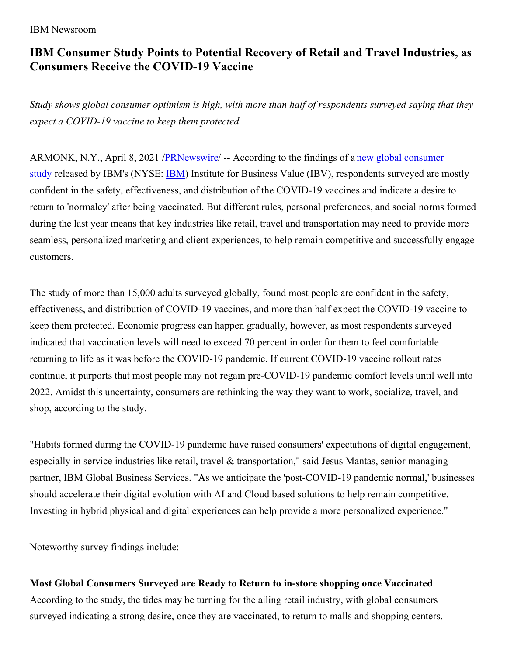#### IBM Newsroom

# **IBM Consumer Study Points to Potential Recovery of Retail and Travel Industries, as Consumers Receive the COVID-19 Vaccine**

Study shows global consumer optimism is high, with more than half of respondents surveyed saying that they *expect a COVID-19 vaccine to keep them protected*

ARMONK, N.Y., April 8, 2021 [/PRNewswire/](https://c212.net/c/link/?t=0&l=en&o=3122105-1&h=3158009847&u=https%3A%2F%2Fwww.ibm.com%2Fthought-leadership%2Finstitute-business-value%2Freport%2Fvaccine-consumer-behavior&a=new+global+consumer+study) -- According to the findings of a new global consumer study released by IBM's (NYSE: [IBM](https://c212.net/c/link/?t=0&l=en&o=3122105-1&h=3706127158&u=https%3A%2F%2Fc212.net%2Fc%2Flink%2F%3Ft%3D0%26l%3Den%26o%3D2792139-1%26h%3D4227214371%26u%3Dhttp%253A%252F%252Fwww.ibm.com%252Finvestor%26a%3DIBM&a=IBM)) Institute for Business Value (IBV), respondents surveyed are mostly confident in the safety, effectiveness, and distribution of the COVID-19 vaccines and indicate a desire to return to 'normalcy' after being vaccinated. But different rules, personal preferences, and social norms formed during the last year means that key industries like retail, travel and transportation may need to provide more seamless, personalized marketing and client experiences, to help remain competitive and successfully engage customers.

The study of more than 15,000 adults surveyed globally, found most people are confident in the safety, effectiveness, and distribution of COVID-19 vaccines, and more than half expect the COVID-19 vaccine to keep them protected. Economic progress can happen gradually, however, as most respondents surveyed indicated that vaccination levels will need to exceed 70 percent in order for them to feel comfortable returning to life as it was before the COVID-19 pandemic. If current COVID-19 vaccine rollout rates continue, it purports that most people may not regain pre-COVID-19 pandemic comfort levels until well into 2022. Amidst this uncertainty, consumers are rethinking the way they want to work, socialize, travel, and shop, according to the study.

"Habits formed during the COVID-19 pandemic have raised consumers' expectations of digital engagement, especially in service industries like retail, travel & transportation," said Jesus Mantas, senior managing partner, IBM Global Business Services. "As we anticipate the 'post-COVID-19 pandemic normal,' businesses should accelerate their digital evolution with AI and Cloud based solutions to help remain competitive. Investing in hybrid physical and digital experiences can help provide a more personalized experience."

Noteworthy survey findings include:

## **Most Global Consumers Surveyed are Ready to Return to in-store shopping once Vaccinated**

According to the study, the tides may be turning for the ailing retail industry, with global consumers surveyed indicating a strong desire, once they are vaccinated, to return to malls and shopping centers.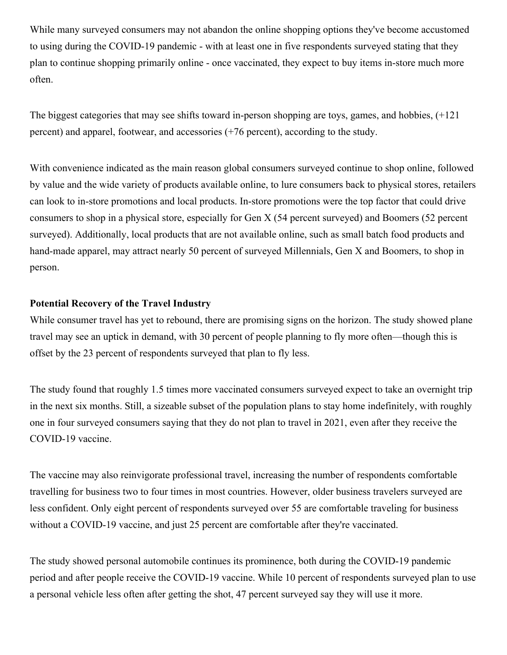While many surveyed consumers may not abandon the online shopping options they've become accustomed to using during the COVID-19 pandemic - with at least one in five respondents surveyed stating that they plan to continue shopping primarily online - once vaccinated, they expect to buy items in-store much more often.

The biggest categories that may see shifts toward in-person shopping are toys, games, and hobbies, (+121 percent) and apparel, footwear, and accessories (+76 percent), according to the study.

With convenience indicated as the main reason global consumers surveyed continue to shop online, followed by value and the wide variety of products available online, to lure consumers back to physical stores, retailers can look to in-store promotions and local products. In-store promotions were the top factor that could drive consumers to shop in a physical store, especially for Gen X (54 percent surveyed) and Boomers (52 percent surveyed). Additionally, local products that are not available online, such as small batch food products and hand-made apparel, may attract nearly 50 percent of surveyed Millennials, Gen X and Boomers, to shop in person.

#### **Potential Recovery of the Travel Industry**

While consumer travel has yet to rebound, there are promising signs on the horizon. The study showed plane travel may see an uptick in demand, with 30 percent of people planning to fly more often—though this is offset by the 23 percent of respondents surveyed that plan to fly less.

The study found that roughly 1.5 times more vaccinated consumers surveyed expect to take an overnight trip in the next six months. Still, a sizeable subset of the population plans to stay home indefinitely, with roughly one in four surveyed consumers saying that they do not plan to travel in 2021, even after they receive the COVID-19 vaccine.

The vaccine may also reinvigorate professional travel, increasing the number of respondents comfortable travelling for business two to four times in most countries. However, older business travelers surveyed are less confident. Only eight percent of respondents surveyed over 55 are comfortable traveling for business without a COVID-19 vaccine, and just 25 percent are comfortable after they're vaccinated.

The study showed personal automobile continues its prominence, both during the COVID-19 pandemic period and after people receive the COVID-19 vaccine. While 10 percent of respondents surveyed plan to use a personal vehicle less often after getting the shot, 47 percent surveyed say they will use it more.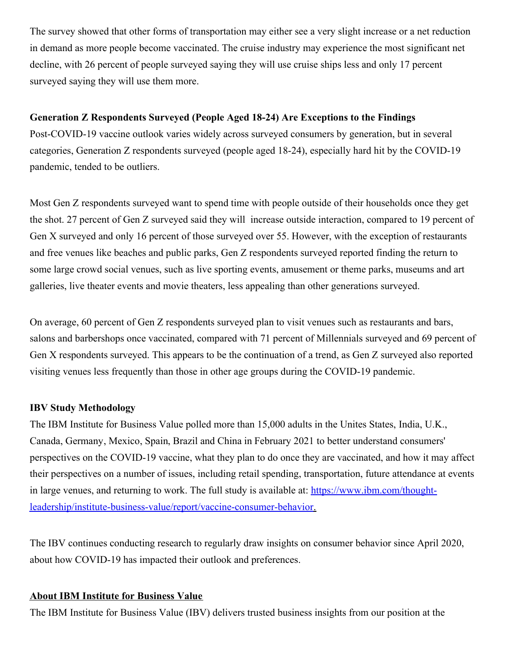The survey showed that other forms of transportation may either see a very slight increase or a net reduction in demand as more people become vaccinated. The cruise industry may experience the most significant net decline, with 26 percent of people surveyed saying they will use cruise ships less and only 17 percent surveyed saying they will use them more.

# **Generation Z Respondents Surveyed (People Aged 18-24) Are Exceptions to the Findings**

Post-COVID-19 vaccine outlook varies widely across surveyed consumers by generation, but in several categories, Generation Z respondents surveyed (people aged 18-24), especially hard hit by the COVID-19 pandemic, tended to be outliers.

Most Gen Z respondents surveyed want to spend time with people outside of their households once they get the shot. 27 percent of Gen Z surveyed said they will increase outside interaction, compared to 19 percent of Gen X surveyed and only 16 percent of those surveyed over 55. However, with the exception of restaurants and free venues like beaches and public parks, Gen Z respondents surveyed reported finding the return to some large crowd social venues, such as live sporting events, amusement or theme parks, museums and art galleries, live theater events and movie theaters, less appealing than other generations surveyed.

On average, 60 percent of Gen Z respondents surveyed plan to visit venues such as restaurants and bars, salons and barbershops once vaccinated, compared with 71 percent of Millennials surveyed and 69 percent of Gen X respondents surveyed. This appears to be the continuation of a trend, as Gen Z surveyed also reported visiting venues less frequently than those in other age groups during the COVID-19 pandemic.

## **IBV Study Methodology**

The IBM Institute for Business Value polled more than 15,000 adults in the Unites States, India, U.K., Canada, Germany, Mexico, Spain, Brazil and China in February 2021 to better understand consumers' perspectives on the COVID-19 vaccine, what they plan to do once they are vaccinated, and how it may affect their perspectives on a number of issues, including retail spending, transportation, future attendance at events in large venues, and returning to work. The full study is available at: https://www.ibm.com/thought[leadership/institute-business-value/report/vaccine-consumer-behavior.](https://c212.net/c/link/?t=0&l=en&o=3122105-1&h=3570901400&u=https%3A%2F%2Fwww.ibm.com%2Fthought-leadership%2Finstitute-business-value%2Freport%2Fvaccine-consumer-behavior&a=https%3A%2F%2Fwww.ibm.com%2Fthought-leadership%2Finstitute-business-value%2Freport%2Fvaccine-consumer-behavior)

The IBV continues conducting research to regularly draw insights on consumer behavior since April 2020, about how COVID-19 has impacted their outlook and preferences.

#### **About IBM Institute for Business Value**

The IBM Institute for Business Value (IBV) delivers trusted business insights from our position at the